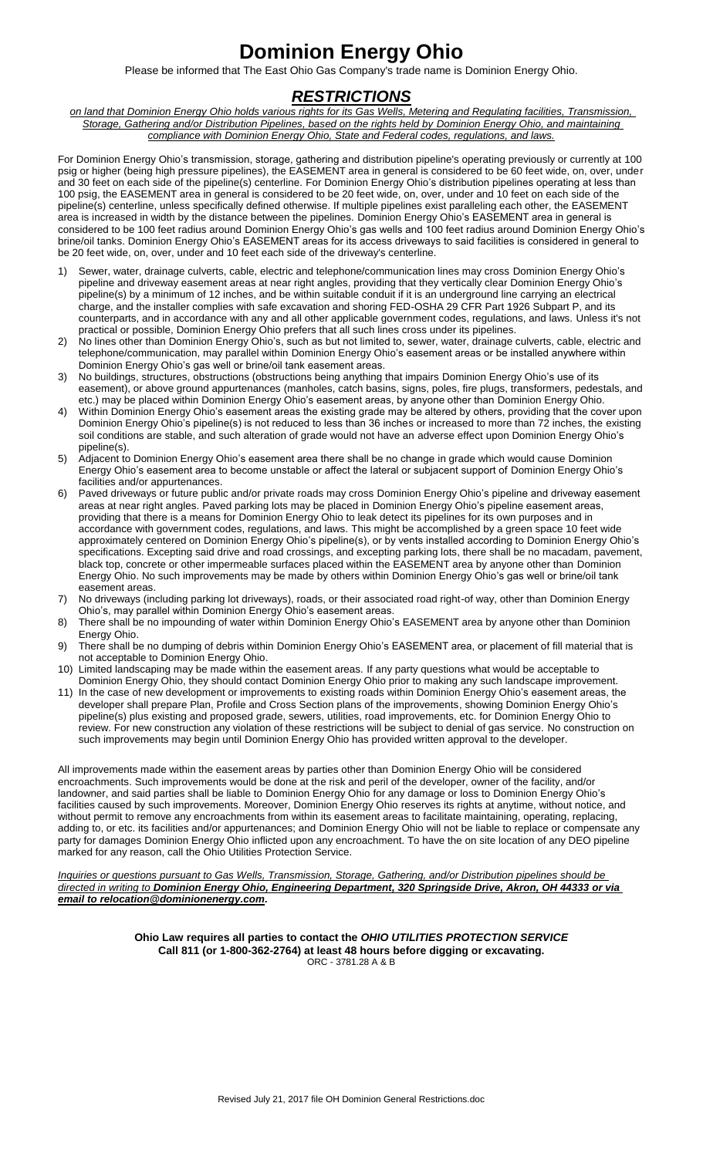## **Dominion Energy Ohio**

Please be informed that The East Ohio Gas Company's trade name is Dominion Energy Ohio.

## *RESTRICTIONS*

*on land that Dominion Energy Ohio holds various rights for its Gas Wells, Metering and Regulating facilities, Transmission, Storage, Gathering and/or Distribution Pipelines, based on the rights held by Dominion Energy Ohio, and maintaining compliance with Dominion Energy Ohio, State and Federal codes, regulations, and laws.* 

For Dominion Energy Ohio's transmission, storage, gathering and distribution pipeline's operating previously or currently at 100 psig or higher (being high pressure pipelines), the EASEMENT area in general is considered to be 60 feet wide, on, over, under and 30 feet on each side of the pipeline(s) centerline. For Dominion Energy Ohio's distribution pipelines operating at less than 100 psig, the EASEMENT area in general is considered to be 20 feet wide, on, over, under and 10 feet on each side of the pipeline(s) centerline, unless specifically defined otherwise. If multiple pipelines exist paralleling each other, the EASEMENT area is increased in width by the distance between the pipelines. Dominion Energy Ohio's EASEMENT area in general is considered to be 100 feet radius around Dominion Energy Ohio's gas wells and 100 feet radius around Dominion Energy Ohio's brine/oil tanks. Dominion Energy Ohio's EASEMENT areas for its access driveways to said facilities is considered in general to be 20 feet wide, on, over, under and 10 feet each side of the driveway's centerline.

- Sewer, water, drainage culverts, cable, electric and telephone/communication lines may cross Dominion Energy Ohio's pipeline and driveway easement areas at near right angles, providing that they vertically clear Dominion Energy Ohio's pipeline(s) by a minimum of 12 inches, and be within suitable conduit if it is an underground line carrying an electrical charge, and the installer complies with safe excavation and shoring FED-OSHA 29 CFR Part 1926 Subpart P, and its counterparts, and in accordance with any and all other applicable government codes, regulations, and laws. Unless it's not
- practical or possible, Dominion Energy Ohio prefers that all such lines cross under its pipelines.<br>2) No lines other than Dominion Energy Ohio's, such as but not limited to, sewer, water, drainage culverts, cable, electric telephone/communication, may parallel within Dominion Energy Ohio's easement areas or be installed anywhere within Dominion Energy Ohio's gas well or brine/oil tank easement areas.
- 3) No buildings, structures, obstructions (obstructions being anything that impairs Dominion Energy Ohio's use of its easement), or above ground appurtenances (manholes, catch basins, signs, poles, fire plugs, transformers, pedestals, and etc.) may be placed within Dominion Energy Ohio's easement areas, by anyone other than Dominion Energy Ohio.
- Dominion Energy Ohio's pipeline(s) is not reduced to less than 36 inches or increased to more than 72 inches, the existing 4) Within Dominion Energy Ohio's easement areas the existing grade may be altered by others, providing that the cover upon soil conditions are stable, and such alteration of grade would not have an adverse effect upon Dominion Energy Ohio's pipeline(s).
- 5) Adjacent to Dominion Energy Ohio's easement area there shall be no change in grade which would cause Dominion Energy Ohio's easement area to become unstable or affect the lateral or subjacent support of Dominion Energy Ohio's facilities and/or appurtenances. 6) Paved driveways or future public and/or private roads may cross Dominion Energy Ohio's pipeline and driveway easement
- black top, concrete or other impermeable surfaces placed within the EASEMENT area by anyone other than Dominion areas at near right angles. Paved parking lots may be placed in Dominion Energy Ohio's pipeline easement areas, providing that there is a means for Dominion Energy Ohio to leak detect its pipelines for its own purposes and in accordance with government codes, regulations, and laws. This might be accomplished by a green space 10 feet wide approximately centered on Dominion Energy Ohio's pipeline(s), or by vents installed according to Dominion Energy Ohio's specifications. Excepting said drive and road crossings, and excepting parking lots, there shall be no macadam, pavement, Energy Ohio. No such improvements may be made by others within Dominion Energy Ohio's gas well or brine/oil tank easement areas.
- 7) No driveways (including parking lot driveways), roads, or their associated road right-of way, other than Dominion Energy Ohio's, may parallel within Dominion Energy Ohio's easement areas.
- 8) There shall be no impounding of water within Dominion Energy Ohio's EASEMENT area by anyone other than Dominion Energy Ohio.
- 9) There shall be no dumping of debris within Dominion Energy Ohio's EASEMENT area, or placement of fill material that is not acceptable to Dominion Energy Ohio.
- 10) Limited landscaping may be made within the easement areas. If any party questions what would be acceptable to Dominion Energy Ohio, they should contact Dominion Energy Ohio prior to making any such landscape improvement.
- 11) In the case of new development or improvements to existing roads within Dominion Energy Ohio's easement areas, the pipeline(s) plus existing and proposed grade, sewers, utilities, road improvements, etc. for Dominion Energy Ohio to developer shall prepare Plan, Profile and Cross Section plans of the improvements, showing Dominion Energy Ohio's review. For new construction any violation of these restrictions will be subject to denial of gas service. No construction on such improvements may begin until Dominion Energy Ohio has provided written approval to the developer.

All improvements made within the easement areas by parties other than Dominion Energy Ohio will be considered encroachments. Such improvements would be done at the risk and peril of the developer, owner of the facility, and/or landowner, and said parties shall be liable to Dominion Energy Ohio for any damage or loss to Dominion Energy Ohio's facilities caused by such improvements. Moreover, Dominion Energy Ohio reserves its rights at anytime, without notice, and without permit to remove any encroachments from within its easement areas to facilitate maintaining, operating, replacing, adding to, or etc. its facilities and/or appurtenances; and Dominion Energy Ohio will not be liable to replace or compensate any party for damages Dominion Energy Ohio inflicted upon any encroachment. To have the on site location of any DEO pipeline marked for any reason, call the Ohio Utilities Protection Service.

 *directed in writing to Dominion Energy Ohio, Engineering Department, 320 Springside Drive, Akron, OH 44333 or via Inquiries or questions pursuant to Gas Wells, Transmission, Storage, Gathering, and/or Distribution pipelines should be email to relocation@dominionenergy.com.* 

> ORC - 3781.28 A & B **Ohio Law requires all parties to contact the** *OHIO UTILITIES PROTECTION SERVICE*  **Call 811 (or 1-800-362-2764) at least 48 hours before digging or excavating.**